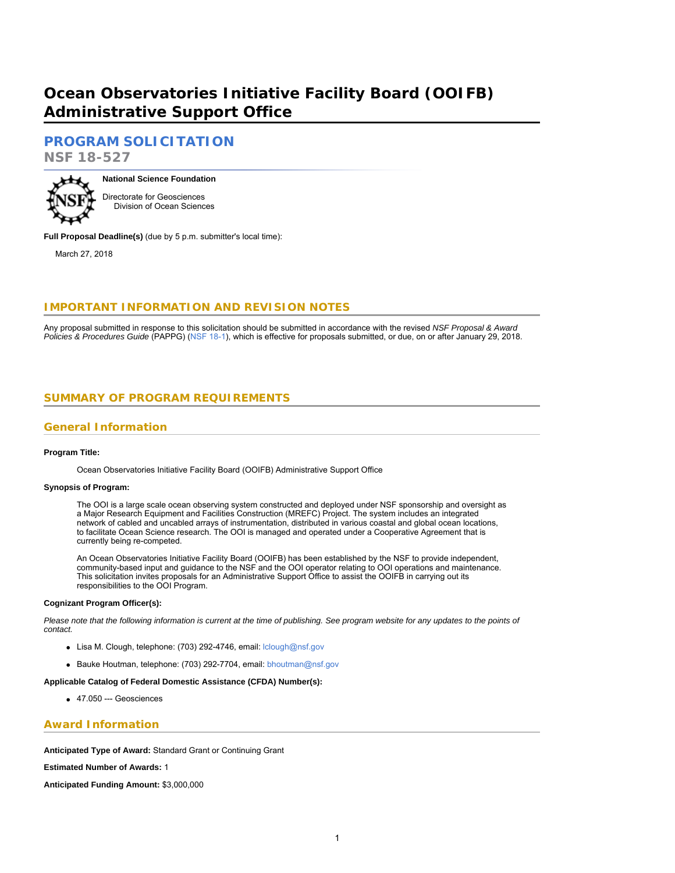# **Ocean Observatories Initiative Facility Board (OOIFB) Administrative Support Office**

# **[PROGRAM SOLICITATION](#page-2-0)**

**NSF 18-527**



**National Science Foundation** Directorate for Geosciences

Division of Ocean Sciences

**Full Proposal Deadline(s)** (due by 5 p.m. submitter's local time):

March 27, 2018

# **IMPORTANT INFORMATION AND REVISION NOTES**

<span id="page-0-0"></span>Any proposal submitted in response to this solicitation should be submitted in accordance with the revised *NSF Proposal & Award Policies & Procedures Guide* (PAPPG) ([NSF 18-1\)](https://www.nsf.gov/publications/pub_summ.jsp?ods_key=nsf18001), which is effective for proposals submitted, or due, on or after January 29, 2018.

# **SUMMARY OF PROGRAM REQUIREMENTS**

### **General Information**

#### **Program Title:**

Ocean Observatories Initiative Facility Board (OOIFB) Administrative Support Office

#### **Synopsis of Program:**

The OOI is a large scale ocean observing system constructed and deployed under NSF sponsorship and oversight as a Major Research Equipment and Facilities Construction (MREFC) Project. The system includes an integrated network of cabled and uncabled arrays of instrumentation, distributed in various coastal and global ocean locations, to facilitate Ocean Science research. The OOI is managed and operated under a Cooperative Agreement that is currently being re-competed.

An Ocean Observatories Initiative Facility Board (OOIFB) has been established by the NSF to provide independent, community-based input and guidance to the NSF and the OOI operator relating to OOI operations and maintenance. This solicitation invites proposals for an Administrative Support Office to assist the OOIFB in carrying out its responsibilities to the OOI Program.

#### **Cognizant Program Officer(s):**

*Please note that the following information is current at the time of publishing. See program website for any updates to the points of contact.*

- Lisa M. Clough, telephone: (703) 292-4746, email: [lclough@nsf.gov](mailto:lclough@nsf.gov)
- Bauke Houtman, telephone: (703) 292-7704, email: [bhoutman@nsf.gov](mailto:bhoutman@nsf.gov)

#### **Applicable Catalog of Federal Domestic Assistance (CFDA) Number(s):**

47.050 --- Geosciences

### **Award Information**

**Anticipated Type of Award:** Standard Grant or Continuing Grant

**Estimated Number of Awards:** 1

**Anticipated Funding Amount:** \$3,000,000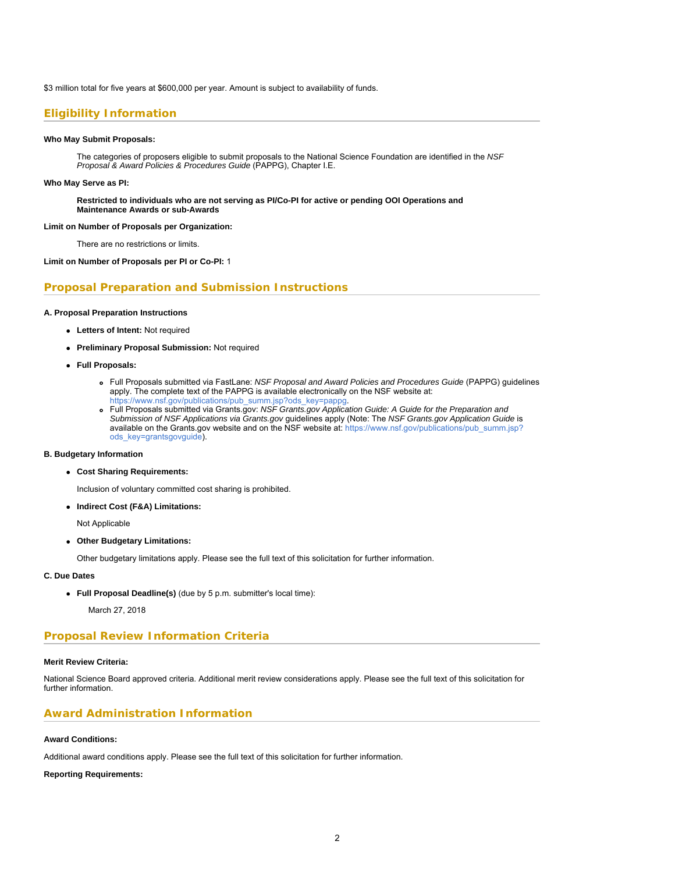\$3 million total for five years at \$600,000 per year. Amount is subject to availability of funds.

### **Eligibility Information**

#### **Who May Submit Proposals:**

The categories of proposers eligible to submit proposals to the National Science Foundation are identified in the *NSF Proposal & Award Policies & Procedures Guide* (PAPPG), Chapter I.E.

#### **Who May Serve as PI:**

**Restricted to individuals who are not serving as PI/Co-PI for active or pending OOI Operations and Maintenance Awards or sub-Awards**

#### **Limit on Number of Proposals per Organization:**

There are no restrictions or limits.

#### **Limit on Number of Proposals per PI or Co-PI:** 1

#### **Proposal Preparation and Submission Instructions**

#### **A. Proposal Preparation Instructions**

- **Letters of Intent:** Not required
- **Preliminary Proposal Submission:** Not required
- **Full Proposals:**
	- Full Proposals submitted via FastLane: *NSF Proposal and Award Policies and Procedures Guide* (PAPPG) guidelines apply. The complete text of the PAPPG is available electronically on the NSF website at: [https://www.nsf.gov/publications/pub\\_summ.jsp?ods\\_key=pappg.](https://www.nsf.gov/publications/pub_summ.jsp?ods_key=pappg)
	- Full Proposals submitted via Grants.gov: *NSF Grants.gov Application Guide: A Guide for the Preparation and Submission of NSF Applications via Grants.gov* guidelines apply (Note: The *NSF Grants.gov Application Guide* is available on the Grants.gov website and on the NSF website at: [https://www.nsf.gov/publications/pub\\_summ.jsp?](https://www.nsf.gov/publications/pub_summ.jsp?ods_key=grantsgovguide)
	- [ods\\_key=grantsgovguide](https://www.nsf.gov/publications/pub_summ.jsp?ods_key=grantsgovguide)).

#### **B. Budgetary Information**

**Cost Sharing Requirements:**

Inclusion of voluntary committed cost sharing is prohibited.

**Indirect Cost (F&A) Limitations:**

Not Applicable

**Other Budgetary Limitations:**

Other budgetary limitations apply. Please see the full text of this solicitation for further information.

#### **C. Due Dates**

**Full Proposal Deadline(s)** (due by 5 p.m. submitter's local time):

March 27, 2018

### **Proposal Review Information Criteria**

#### **Merit Review Criteria:**

National Science Board approved criteria. Additional merit review considerations apply. Please see the full text of this solicitation for further information.

#### **Award Administration Information**

#### **Award Conditions:**

Additional award conditions apply. Please see the full text of this solicitation for further information.

#### **Reporting Requirements:**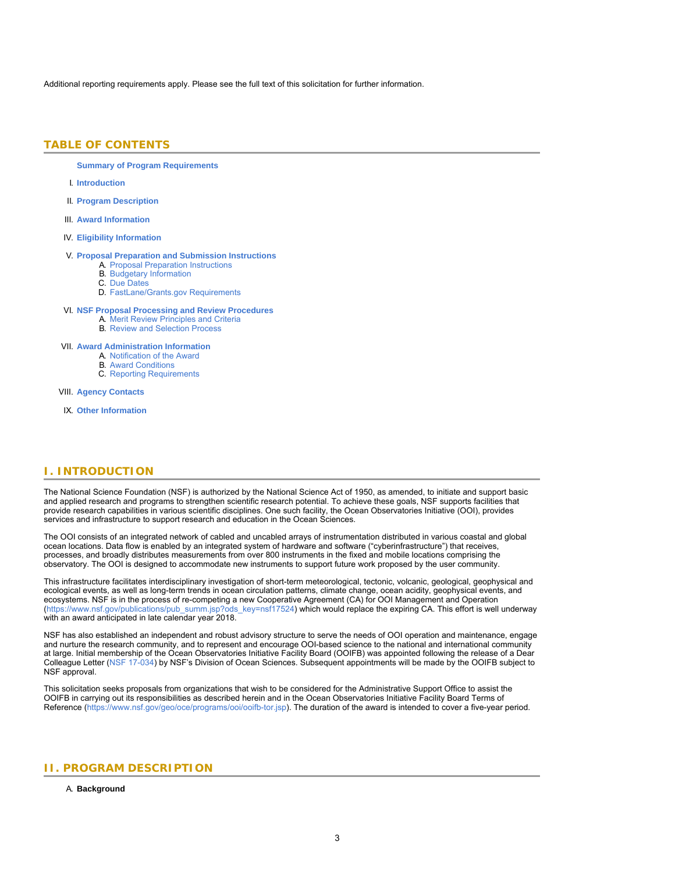<span id="page-2-0"></span>Additional reporting requirements apply. Please see the full text of this solicitation for further information.

### **TABLE OF CONTENTS**

**[Summary of Program Requirements](#page-0-0)**

- I. **[Introduction](#page-2-1)**
- II. **[Program Description](#page-2-2)**
- III. **[Award Information](#page-3-0)**
- IV. **[Eligibility Information](#page-3-1)**

#### V. **[Proposal Preparation and Submission Instructions](#page-4-0)**

- A. [Proposal Preparation Instructions](#page-4-0)
- B. [Budgetary Information](#page-6-0)
- C. [Due Dates](#page-6-1)
- D. [FastLane/Grants.gov Requirements](#page-6-2)

#### VI. **[NSF Proposal Processing and Review Procedures](#page-6-3)**

- A. [Merit Review Principles and Criteria](#page-7-0)
- B. [Review and Selection Process](#page-8-0)

#### VII. **[Award Administration Information](#page-8-1)**

- A. [Notification of the Award](#page-9-0)
	- B. [Award Conditions](#page-9-1)
	- C. [Reporting Requirements](#page-9-2)

<span id="page-2-1"></span>VIII. **[Agency Contacts](#page-10-0)**

IX. **[Other Information](#page-10-1)**

### **I. INTRODUCTION**

The National Science Foundation (NSF) is authorized by the National Science Act of 1950, as amended, to initiate and support basic and applied research and programs to strengthen scientific research potential. To achieve these goals, NSF supports facilities that provide research capabilities in various scientific disciplines. One such facility, the Ocean Observatories Initiative (OOI), provides services and infrastructure to support research and education in the Ocean Sciences.

The OOI consists of an integrated network of cabled and uncabled arrays of instrumentation distributed in various coastal and global ocean locations. Data flow is enabled by an integrated system of hardware and software ("cyberinfrastructure") that receives, processes, and broadly distributes measurements from over 800 instruments in the fixed and mobile locations comprising the observatory. The OOI is designed to accommodate new instruments to support future work proposed by the user community.

This infrastructure facilitates interdisciplinary investigation of short-term meteorological, tectonic, volcanic, geological, geophysical and ecological events, as well as long-term trends in ocean circulation patterns, climate change, ocean acidity, geophysical events, and ecosystems. NSF is in the process of re-competing a new Cooperative Agreement (CA) for OOI Management and Operation [\(https://www.nsf.gov/publications/pub\\_summ.jsp?ods\\_key=nsf17524](https://www.nsf.gov/publications/pub_summ.jsp?ods_key=nsf17524)) which would replace the expiring CA. This effort is well underway with an award anticipated in late calendar year 2018.

NSF has also established an independent and robust advisory structure to serve the needs of OOI operation and maintenance, engage and nurture the research community, and to represent and encourage OOI-based science to the national and international community at large. Initial membership of the Ocean Observatories Initiative Facility Board (OOIFB) was appointed following the release of a Dear Colleague Letter [\(NSF 17-034](https://www.nsf.gov/publications/pub_summ.jsp?ods_key=nsf17034)) by NSF's Division of Ocean Sciences. Subsequent appointments will be made by the OOIFB subject to NSF approval.

<span id="page-2-2"></span>This solicitation seeks proposals from organizations that wish to be considered for the Administrative Support Office to assist the OOIFB in carrying out its responsibilities as described herein and in the Ocean Observatories Initiative Facility Board Terms of Reference ([https://www.nsf.gov/geo/oce/programs/ooi/ooifb-tor.jsp\)](https://www.nsf.gov/geo/oce/programs/ooi/ooifb-tor.jsp). The duration of the award is intended to cover a five-year period.

### **II. PROGRAM DESCRIPTION**

#### A. **Background**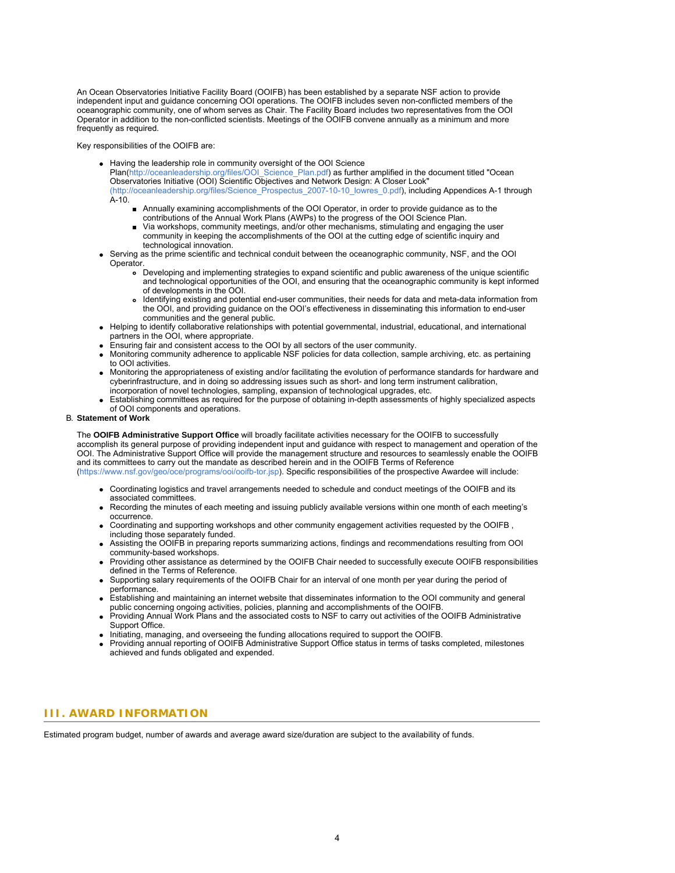An Ocean Observatories Initiative Facility Board (OOIFB) has been established by a separate NSF action to provide independent input and guidance concerning OOI operations. The OOIFB includes seven non-conflicted members of the oceanographic community, one of whom serves as Chair. The Facility Board includes two representatives from the OOI Operator in addition to the non-conflicted scientists. Meetings of the OOIFB convene annually as a minimum and more frequently as required.

Key responsibilities of the OOIFB are:

- Having the leadership role in community oversight of the OOI Science
	- Plan[\(http://oceanleadership.org/files/OOI\\_Science\\_Plan.pdf](https://www.nsf.gov/cgi-bin/goodbye?http://oceanleadership.org/files/OOI_Science_Plan.pdf)) as further amplified in the document titled "Ocean Observatories Initiative (OOI) Scientific Objectives and Network Design: A Closer Look" [\(http://oceanleadership.org/files/Science\\_Prospectus\\_2007-10-10\\_lowres\\_0.pdf](https://www.nsf.gov/cgi-bin/goodbye?http://oceanleadership.org/files/Science_Prospectus_2007-10-10_lowres_0.pdf)), including Appendices A-1 through
	- A-10.
		- Annually examining accomplishments of the OOI Operator, in order to provide guidance as to the contributions of the Annual Work Plans (AWPs) to the progress of the OOI Science Plan.
		- Via workshops, community meetings, and/or other mechanisms, stimulating and engaging the user community in keeping the accomplishments of the OOI at the cutting edge of scientific inquiry and technological innovation.
- Serving as the prime scientific and technical conduit between the oceanographic community, NSF, and the OOI Operator.
	- Developing and implementing strategies to expand scientific and public awareness of the unique scientific and technological opportunities of the OOI, and ensuring that the oceanographic community is kept informed of developments in the OOI.
	- Identifying existing and potential end-user communities, their needs for data and meta-data information from  $\bullet$ the OOI, and providing guidance on the OOI's effectiveness in disseminating this information to end-user communities and the general public.
- Helping to identify collaborative relationships with potential governmental, industrial, educational, and international partners in the OOI, where appropriate.
- Ensuring fair and consistent access to the OOI by all sectors of the user community.
- Monitoring community adherence to applicable NSF policies for data collection, sample archiving, etc. as pertaining to OOI activities.
- Monitoring the appropriateness of existing and/or facilitating the evolution of performance standards for hardware and cyberinfrastructure, and in doing so addressing issues such as short- and long term instrument calibration, incorporation of novel technologies, sampling, expansion of technological upgrades, etc.
- Establishing committees as required for the purpose of obtaining in-depth assessments of highly specialized aspects of OOI components and operations.

### B. **Statement of Work**

The **OOIFB Administrative Support Office** will broadly facilitate activities necessary for the OOIFB to successfully accomplish its general purpose of providing independent input and guidance with respect to management and operation of the OOI. The Administrative Support Office will provide the management structure and resources to seamlessly enable the OOIFB and its committees to carry out the mandate as described herein and in the OOIFB Terms of Reference [\(https://www.nsf.gov/geo/oce/programs/ooi/ooifb-tor.jsp](https://www.nsf.gov/geo/oce/programs/ooi/ooifb-tor.jsp)). Specific responsibilities of the prospective Awardee will include:

- Coordinating logistics and travel arrangements needed to schedule and conduct meetings of the OOIFB and its associated committees.
- Recording the minutes of each meeting and issuing publicly available versions within one month of each meeting's occurrence.
- Coordinating and supporting workshops and other community engagement activities requested by the OOIFB , including those separately funded.
- Assisting the OOIFB in preparing reports summarizing actions, findings and recommendations resulting from OOI community-based workshops.
- Providing other assistance as determined by the OOIFB Chair needed to successfully execute OOIFB responsibilities defined in the Terms of Reference.
- Supporting salary requirements of the OOIFB Chair for an interval of one month per year during the period of performance.
- Establishing and maintaining an internet website that disseminates information to the OOI community and general public concerning ongoing activities, policies, planning and accomplishments of the OOIFB.
- Providing Annual Work Plans and the associated costs to NSF to carry out activities of the OOIFB Administrative Support Office.
- Initiating, managing, and overseeing the funding allocations required to support the OOIFB.
- Providing annual reporting of OOIFB Administrative Support Office status in terms of tasks completed, milestones achieved and funds obligated and expended.

### <span id="page-3-0"></span>**III. AWARD INFORMATION**

<span id="page-3-1"></span>Estimated program budget, number of awards and average award size/duration are subject to the availability of funds.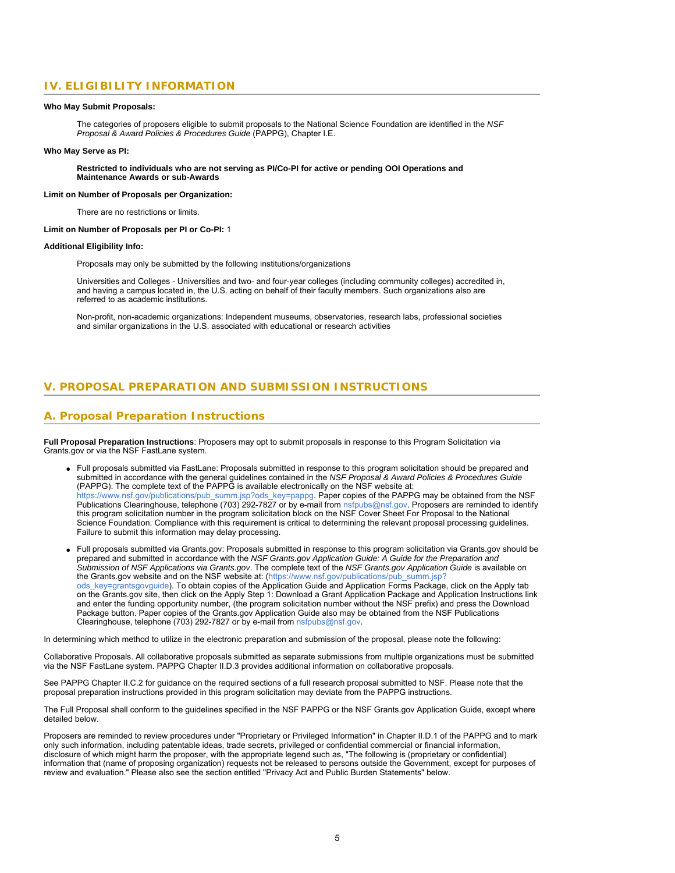# **IV. ELIGIBILITY INFORMATION**

#### **Who May Submit Proposals:**

The categories of proposers eligible to submit proposals to the National Science Foundation are identified in the *NSF Proposal & Award Policies & Procedures Guide* (PAPPG), Chapter I.E.

#### **Who May Serve as PI:**

**Restricted to individuals who are not serving as PI/Co-PI for active or pending OOI Operations and Maintenance Awards or sub-Awards**

#### **Limit on Number of Proposals per Organization:**

There are no restrictions or limits.

#### **Limit on Number of Proposals per PI or Co-PI:** 1

#### **Additional Eligibility Info:**

Proposals may only be submitted by the following institutions/organizations

Universities and Colleges - Universities and two- and four-year colleges (including community colleges) accredited in, and having a campus located in, the U.S. acting on behalf of their faculty members. Such organizations also are referred to as academic institutions.

Non-profit, non-academic organizations: Independent museums, observatories, research labs, professional societies and similar organizations in the U.S. associated with educational or research activities

### <span id="page-4-0"></span>**V. PROPOSAL PREPARATION AND SUBMISSION INSTRUCTIONS**

### **A. Proposal Preparation Instructions**

**Full Proposal Preparation Instructions**: Proposers may opt to submit proposals in response to this Program Solicitation via Grants.gov or via the NSF FastLane system.

- Full proposals submitted via FastLane: Proposals submitted in response to this program solicitation should be prepared and submitted in accordance with the general guidelines contained in the *NSF Proposal & Award Policies & Procedures Guide* (PAPPG). The complete text of the PAPPG is available electronically on the NSF website at: [https://www.nsf.gov/publications/pub\\_summ.jsp?ods\\_key=pappg.](https://www.nsf.gov/publications/pub_summ.jsp?ods_key=pappg) Paper copies of the PAPPG may be obtained from the NSF Publications Clearinghouse, telephone (703) 292-7827 or by e-mail from [nsfpubs@nsf.gov](mailto:nsfpubs@nsf.gov). Proposers are reminded to identify this program solicitation number in the program solicitation block on the NSF Cover Sheet For Proposal to the National Science Foundation. Compliance with this requirement is critical to determining the relevant proposal processing guidelines. Failure to submit this information may delay processing.
- Full proposals submitted via Grants.gov: Proposals submitted in response to this program solicitation via Grants.gov should be prepared and submitted in accordance with the *NSF Grants.gov Application Guide: A Guide for the Preparation and Submission of NSF Applications via Grants.gov*. The complete text of the *NSF Grants.gov Application Guide* is available on the Grants.gov website and on the NSF website at: [\(https://www.nsf.gov/publications/pub\\_summ.jsp?](https://www.nsf.gov/publications/pub_summ.jsp?ods_key=grantsgovguide) [ods\\_key=grantsgovguide](https://www.nsf.gov/publications/pub_summ.jsp?ods_key=grantsgovguide)). To obtain copies of the Application Guide and Application Forms Package, click on the Apply tab on the Grants.gov site, then click on the Apply Step 1: Download a Grant Application Package and Application Instructions link and enter the funding opportunity number, (the program solicitation number without the NSF prefix) and press the Download Package button. Paper copies of the Grants.gov Application Guide also may be obtained from the NSF Publications Clearinghouse, telephone (703) 292-7827 or by e-mail from [nsfpubs@nsf.gov](mailto:nsfpubs@nsf.gov).

In determining which method to utilize in the electronic preparation and submission of the proposal, please note the following:

Collaborative Proposals. All collaborative proposals submitted as separate submissions from multiple organizations must be submitted via the NSF FastLane system. PAPPG Chapter II.D.3 provides additional information on collaborative proposals.

See PAPPG Chapter II.C.2 for guidance on the required sections of a full research proposal submitted to NSF. Please note that the proposal preparation instructions provided in this program solicitation may deviate from the PAPPG instructions.

The Full Proposal shall conform to the guidelines specified in the NSF PAPPG or the NSF Grants.gov Application Guide, except where detailed below.

Proposers are reminded to review procedures under "Proprietary or Privileged Information" in Chapter II.D.1 of the PAPPG and to mark only such information, including patentable ideas, trade secrets, privileged or confidential commercial or financial information, disclosure of which might harm the proposer, with the appropriate legend such as, "The following is (proprietary or confidential) information that (name of proposing organization) requests not be released to persons outside the Government, except for purposes of review and evaluation." Please also see the section entitled "Privacy Act and Public Burden Statements" below.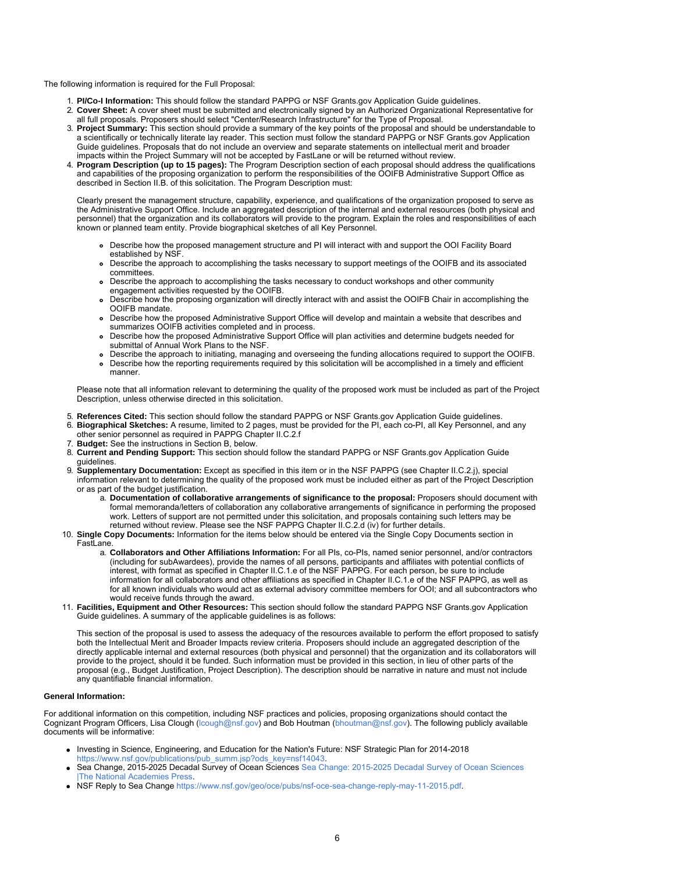The following information is required for the Full Proposal:

- 1. **PI/Co-I Information:** This should follow the standard PAPPG or NSF Grants.gov Application Guide guidelines.
- 2. **Cover Sheet:** A cover sheet must be submitted and electronically signed by an Authorized Organizational Representative for all full proposals. Proposers should select "Center/Research Infrastructure" for the Type of Proposal.
- 3. **Project Summary:** This section should provide a summary of the key points of the proposal and should be understandable to a scientifically or technically literate lay reader. This section must follow the standard PAPPG or NSF Grants.gov Application Guide guidelines. Proposals that do not include an overview and separate statements on intellectual merit and broader impacts within the Project Summary will not be accepted by FastLane or will be returned without review.
- 4. **Program Description (up to 15 pages):** The Program Description section of each proposal should address the qualifications and capabilities of the proposing organization to perform the responsibilities of the OOIFB Administrative Support Office as described in Section II.B. of this solicitation. The Program Description must:

Clearly present the management structure, capability, experience, and qualifications of the organization proposed to serve as the Administrative Support Office. Include an aggregated description of the internal and external resources (both physical and personnel) that the organization and its collaborators will provide to the program. Explain the roles and responsibilities of each known or planned team entity. Provide biographical sketches of all Key Personnel.

- Describe how the proposed management structure and PI will interact with and support the OOI Facility Board established by NSF.
- Describe the approach to accomplishing the tasks necessary to support meetings of the OOIFB and its associated committees.
- Describe the approach to accomplishing the tasks necessary to conduct workshops and other community engagement activities requested by the OOIFB.
- Describe how the proposing organization will directly interact with and assist the OOIFB Chair in accomplishing the OOIFB mandate.
- Describe how the proposed Administrative Support Office will develop and maintain a website that describes and summarizes OOIFB activities completed and in process.
- Describe how the proposed Administrative Support Office will plan activities and determine budgets needed for submittal of Annual Work Plans to the NSF.
- Describe the approach to initiating, managing and overseeing the funding allocations required to support the OOIFB.
- Describe how the reporting requirements required by this solicitation will be accomplished in a timely and efficient manner.

Please note that all information relevant to determining the quality of the proposed work must be included as part of the Project Description, unless otherwise directed in this solicitation.

- 5. **References Cited:** This section should follow the standard PAPPG or NSF Grants.gov Application Guide guidelines.
- 6. **Biographical Sketches:** A resume, limited to 2 pages, must be provided for the PI, each co-PI, all Key Personnel, and any other senior personnel as required in PAPPG Chapter II.C.2.f
- 7. **Budget:** See the instructions in Section B, below.
- 8. **Current and Pending Support:** This section should follow the standard PAPPG or NSF Grants.gov Application Guide guidelines.
- 9. **Supplementary Documentation:** Except as specified in this item or in the NSF PAPPG (see Chapter II.C.2.j), special information relevant to determining the quality of the proposed work must be included either as part of the Project Description or as part of the budget justification.
	- a. **Documentation of collaborative arrangements of significance to the proposal:** Proposers should document with formal memoranda/letters of collaboration any collaborative arrangements of significance in performing the proposed work. Letters of support are not permitted under this solicitation, and proposals containing such letters may be returned without review. Please see the NSF PAPPG Chapter II.C.2.d (iv) for further details.
- 10. **Single Copy Documents:** Information for the items below should be entered via the Single Copy Documents section in FastLane.
	- a. **Collaborators and Other Affiliations Information:** For all PIs, co-PIs, named senior personnel, and/or contractors (including for subAwardees), provide the names of all persons, participants and affiliates with potential conflicts of interest, with format as specified in Chapter II.C.1.e of the NSF PAPPG. For each person, be sure to include information for all collaborators and other affiliations as specified in Chapter II.C.1.e of the NSF PAPPG, as well as for all known individuals who would act as external advisory committee members for OOI; and all subcontractors who would receive funds through the award.
- 11. **Facilities, Equipment and Other Resources:** This section should follow the standard PAPPG NSF Grants.gov Application Guide guidelines. A summary of the applicable guidelines is as follows:

This section of the proposal is used to assess the adequacy of the resources available to perform the effort proposed to satisfy both the Intellectual Merit and Broader Impacts review criteria. Proposers should include an aggregated description of the directly applicable internal and external resources (both physical and personnel) that the organization and its collaborators will provide to the project, should it be funded. Such information must be provided in this sect provide to the project, should it be funded. Such information must be provided in this section, in lieu of other parts of the proposal (e.g., Budget Justification, Project Description). The description should be narrative in nature and must not include any quantifiable financial information.

#### **General Information:**

For additional information on this competition, including NSF practices and policies, proposing organizations should contact the Cognizant Program Officers, Lisa Clough [\(lcough@nsf.gov](mailto:lcough@nsf.gov)) and Bob Houtman [\(bhoutman@nsf.gov](mailto:bhoutman@nsf.gov)). The following publicly available documents will be informative:

- Investing in Science, Engineering, and Education for the Nation's Future: NSF Strategic Plan for 2014-2018 [https://www.nsf.gov/publications/pub\\_summ.jsp?ods\\_key=nsf14043](https://www.nsf.gov/publications/pub_summ.jsp?ods_key=nsf14043).
- Sea Change, 2015-2025 Decadal Survey of Ocean Sciences [Sea Change: 2015-2025 Decadal Survey of Ocean Sciences](https://www.nsf.gov/cgi-bin/goodbye?http://www.nap.edu/catalog/21655/sea-change-2015-2025-decadal-survey-of-ocean-sciences) [|The National Academies Press](https://www.nsf.gov/cgi-bin/goodbye?http://www.nap.edu/catalog/21655/sea-change-2015-2025-decadal-survey-of-ocean-sciences).
- NSF Reply to Sea Change<https://www.nsf.gov/geo/oce/pubs/nsf-oce-sea-change-reply-may-11-2015.pdf>.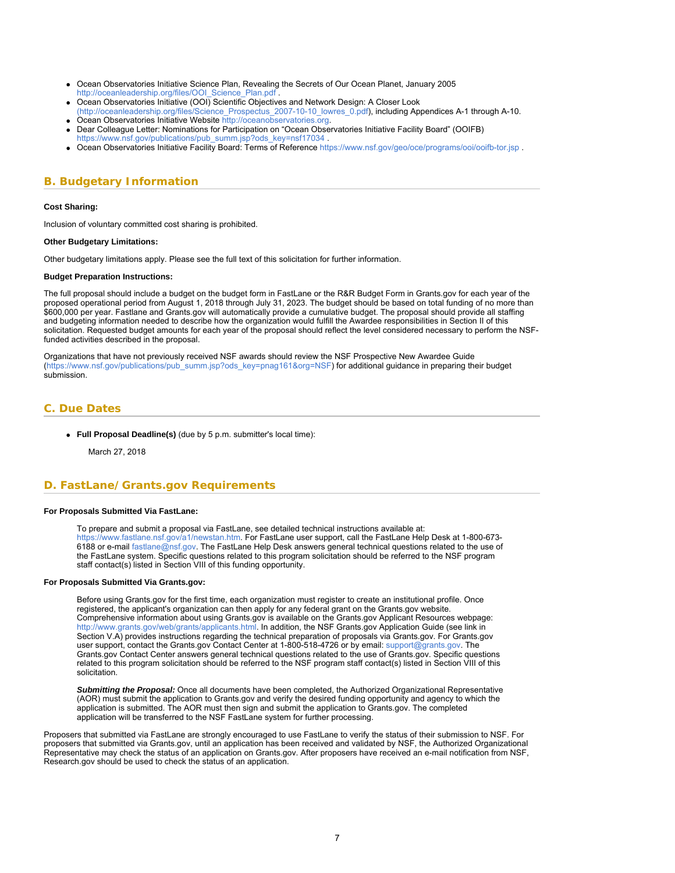- <span id="page-6-1"></span>Ocean Observatories Initiative Science Plan, Revealing the Secrets of Our Ocean Planet, January 2005 http://oceanleadership.org/files/OOI\_Science\_Plan.pdf
- Ocean Observatories Initiative (OOI) Scientific Objectives and Network Design: A Closer Look
- [\(http://oceanleadership.org/files/Science\\_Prospectus\\_2007-10-10\\_lowres\\_0.pdf](https://www.nsf.gov/cgi-bin/goodbye?http://oceanleadership.org/files/Science_Prospectus_2007-10-10_lowres_0.pdf)), including Appendices A-1 through A-10. Ocean Observatories Initiative Website [http://oceanobservatories.org](https://www.nsf.gov/cgi-bin/goodbye?http://oceanobservatories.org/).
- Dear Colleague Letter: Nominations for Participation on "Ocean Observatories Initiative Facility Board" (OOIFB) [https://www.nsf.gov/publications/pub\\_summ.jsp?ods\\_key=nsf17034](https://www.nsf.gov/publications/pub_summ.jsp?ods_key=nsf17034)
- Ocean Observatories Initiative Facility Board: Terms of Reference<https://www.nsf.gov/geo/oce/programs/ooi/ooifb-tor.jsp> .

# <span id="page-6-0"></span>**B. Budgetary Information**

#### **Cost Sharing:**

Inclusion of voluntary committed cost sharing is prohibited.

#### **Other Budgetary Limitations:**

Other budgetary limitations apply. Please see the full text of this solicitation for further information.

#### **Budget Preparation Instructions:**

The full proposal should include a budget on the budget form in FastLane or the R&R Budget Form in Grants.gov for each year of the proposed operational period from August 1, 2018 through July 31, 2023. The budget should be based on total funding of no more than \$600,000 per year. Fastlane and Grants.gov will automatically provide a cumulative budget. The proposal should provide all staffing and budgeting information needed to describe how the organization would fulfill the Awardee responsibilities in Section II of this solicitation. Requested budget amounts for each year of the proposal should reflect the level considered necessary to perform the NSFfunded activities described in the proposal.

Organizations that have not previously received NSF awards should review the NSF Prospective New Awardee Guide [\(https://www.nsf.gov/publications/pub\\_summ.jsp?ods\\_key=pnag161&org=NSF](https://www.nsf.gov/publications/pub_summ.jsp?ods_key=pnag161&org=NSF)) for additional guidance in preparing their budget submission.

### **C. Due Dates**

#### **Full Proposal Deadline(s)** (due by 5 p.m. submitter's local time):

March 27, 2018

### <span id="page-6-2"></span>**D. FastLane/Grants.gov Requirements**

#### **For Proposals Submitted Via FastLane:**

To prepare and submit a proposal via FastLane, see detailed technical instructions available at: <https://www.fastlane.nsf.gov/a1/newstan.htm>. For FastLane user support, call the FastLane Help Desk at 1-800-673- 6188 or e-mail [fastlane@nsf.gov](mailto:fastlane@nsf.gov). The FastLane Help Desk answers general technical questions related to the use of the FastLane system. Specific questions related to this program solicitation should be referred to the NSF program staff contact(s) listed in Section VIII of this funding opportunity.

#### **For Proposals Submitted Via Grants.gov:**

Before using Grants.gov for the first time, each organization must register to create an institutional profile. Once registered, the applicant's organization can then apply for any federal grant on the Grants.gov website. Comprehensive information about using Grants.gov is available on the Grants.gov Applicant Resources webpage: [http://www.grants.gov/web/grants/applicants.html.](http://www.grants.gov/web/grants/applicants.html) In addition, the NSF Grants.gov Application Guide (see link in Section V.A) provides instructions regarding the technical preparation of proposals via Grants.gov. For Grants.gov user support, contact the Grants.gov Contact Center at 1-800-518-4726 or by email: [support@grants.gov.](mailto:support@grants.gov) The Grants.gov Contact Center answers general technical questions related to the use of Grants.gov. Specific questions related to this program solicitation should be referred to the NSF program staff contact(s) listed in Section VIII of this solicitation.

*Submitting the Proposal:* Once all documents have been completed, the Authorized Organizational Representative (AOR) must submit the application to Grants.gov and verify the desired funding opportunity and agency to which the application is submitted. The AOR must then sign and submit the application to Grants.gov. The completed application will be transferred to the NSF FastLane system for further processing.

<span id="page-6-3"></span>Proposers that submitted via FastLane are strongly encouraged to use FastLane to verify the status of their submission to NSF. For proposers that submitted via Grants.gov, until an application has been received and validated by NSF, the Authorized Organizational Representative may check the status of an application on Grants.gov. After proposers have received an e-mail notification from NSF, Research.gov should be used to check the status of an application.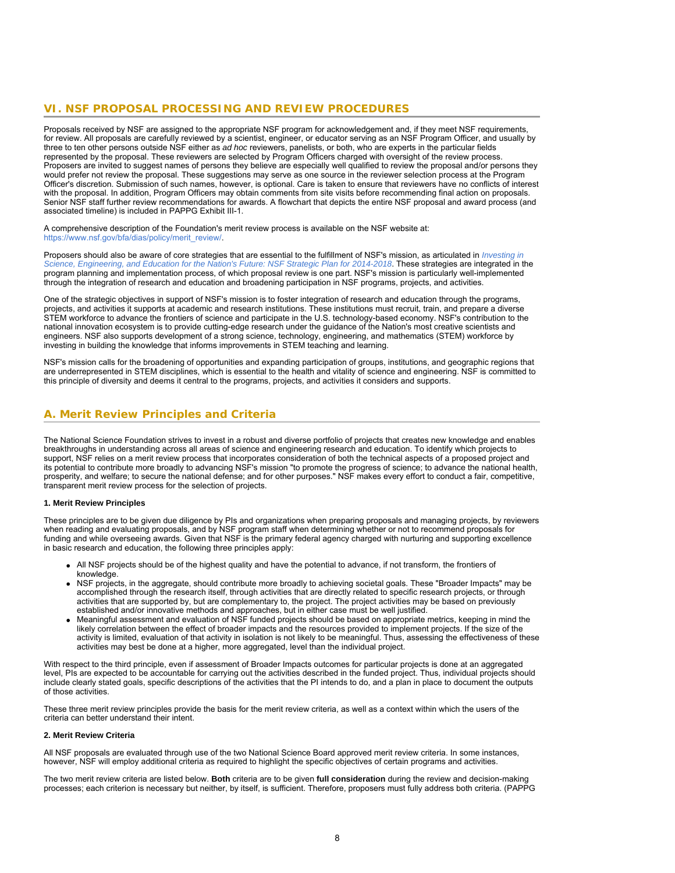### **VI. NSF PROPOSAL PROCESSING AND REVIEW PROCEDURES**

Proposals received by NSF are assigned to the appropriate NSF program for acknowledgement and, if they meet NSF requirements, for review. All proposals are carefully reviewed by a scientist, engineer, or educator serving as an NSF Program Officer, and usually by three to ten other persons outside NSF either as *ad hoc* reviewers, panelists, or both, who are experts in the particular fields represented by the proposal. These reviewers are selected by Program Officers charged with oversight of the review process. Proposers are invited to suggest names of persons they believe are especially well qualified to review the proposal and/or persons they would prefer not review the proposal. These suggestions may serve as one source in the reviewer selection process at the Program Officer's discretion. Submission of such names, however, is optional. Care is taken to ensure that reviewers have no conflicts of interest with the proposal. In addition, Program Officers may obtain comments from site visits before recommending final action on proposals. Senior NSF staff further review recommendations for awards. A flowchart that depicts the entire NSF proposal and award process (and associated timeline) is included in PAPPG Exhibit III-1.

A comprehensive description of the Foundation's merit review process is available on the NSF website at: [https://www.nsf.gov/bfa/dias/policy/merit\\_review/](https://www.nsf.gov/bfa/dias/policy/merit_review/).

Proposers should also be aware of core strategies that are essential to the fulfillment of NSF's mission, as articulated in *[Investing in](https://www.nsf.gov/publications/pub_summ.jsp?ods_key=nsf14043) [Science, Engineering, and Education for the Nation's Future: NSF Strategic Plan for 2014-2018](https://www.nsf.gov/publications/pub_summ.jsp?ods_key=nsf14043)*. These strategies are integrated in the program planning and implementation process, of which proposal review is one part. NSF's mission is particularly well-implemented through the integration of research and education and broadening participation in NSF programs, projects, and activities.

One of the strategic objectives in support of NSF's mission is to foster integration of research and education through the programs, projects, and activities it supports at academic and research institutions. These institutions must recruit, train, and prepare a diverse STEM workforce to advance the frontiers of science and participate in the U.S. technology-based economy. NSF's contribution to the national innovation ecosystem is to provide cutting-edge research under the guidance of the Nation's most creative scientists and engineers. NSF also supports development of a strong science, technology, engineering, and mathematics (STEM) workforce by investing in building the knowledge that informs improvements in STEM teaching and learning.

<span id="page-7-0"></span>NSF's mission calls for the broadening of opportunities and expanding participation of groups, institutions, and geographic regions that are underrepresented in STEM disciplines, which is essential to the health and vitality of science and engineering. NSF is committed to this principle of diversity and deems it central to the programs, projects, and activities it considers and supports.

### **A. Merit Review Principles and Criteria**

The National Science Foundation strives to invest in a robust and diverse portfolio of projects that creates new knowledge and enables breakthroughs in understanding across all areas of science and engineering research and education. To identify which projects to support, NSF relies on a merit review process that incorporates consideration of both the technical aspects of a proposed project and its potential to contribute more broadly to advancing NSF's mission "to promote the progress of science; to advance the national health, prosperity, and welfare; to secure the national defense; and for other purposes." NSF makes every effort to conduct a fair, competitive, transparent merit review process for the selection of projects.

#### **1. Merit Review Principles**

These principles are to be given due diligence by PIs and organizations when preparing proposals and managing projects, by reviewers when reading and evaluating proposals, and by NSF program staff when determining whether or not to recommend proposals for funding and while overseeing awards. Given that NSF is the primary federal agency charged with nurturing and supporting excellence in basic research and education, the following three principles apply:

- All NSF projects should be of the highest quality and have the potential to advance, if not transform, the frontiers of knowledge.
- NSF projects, in the aggregate, should contribute more broadly to achieving societal goals. These "Broader Impacts" may be accomplished through the research itself, through activities that are directly related to specific research projects, or through activities that are supported by, but are complementary to, the project. The project activities may be based on previously established and/or innovative methods and approaches, but in either case must be well justified.
- Meaningful assessment and evaluation of NSF funded projects should be based on appropriate metrics, keeping in mind the likely correlation between the effect of broader impacts and the resources provided to implement projects. If the size of the activity is limited, evaluation of that activity in isolation is not likely to be meaningful. Thus, assessing the effectiveness of these activities may best be done at a higher, more aggregated, level than the individual project.

With respect to the third principle, even if assessment of Broader Impacts outcomes for particular projects is done at an aggregated level, PIs are expected to be accountable for carrying out the activities described in the funded project. Thus, individual projects should include clearly stated goals, specific descriptions of the activities that the PI intends to do, and a plan in place to document the outputs of those activities.

These three merit review principles provide the basis for the merit review criteria, as well as a context within which the users of the criteria can better understand their intent.

#### **2. Merit Review Criteria**

All NSF proposals are evaluated through use of the two National Science Board approved merit review criteria. In some instances, however, NSF will employ additional criteria as required to highlight the specific objectives of certain programs and activities.

The two merit review criteria are listed below. **Both** criteria are to be given **full consideration** during the review and decision-making processes; each criterion is necessary but neither, by itself, is sufficient. Therefore, proposers must fully address both criteria. (PAPPG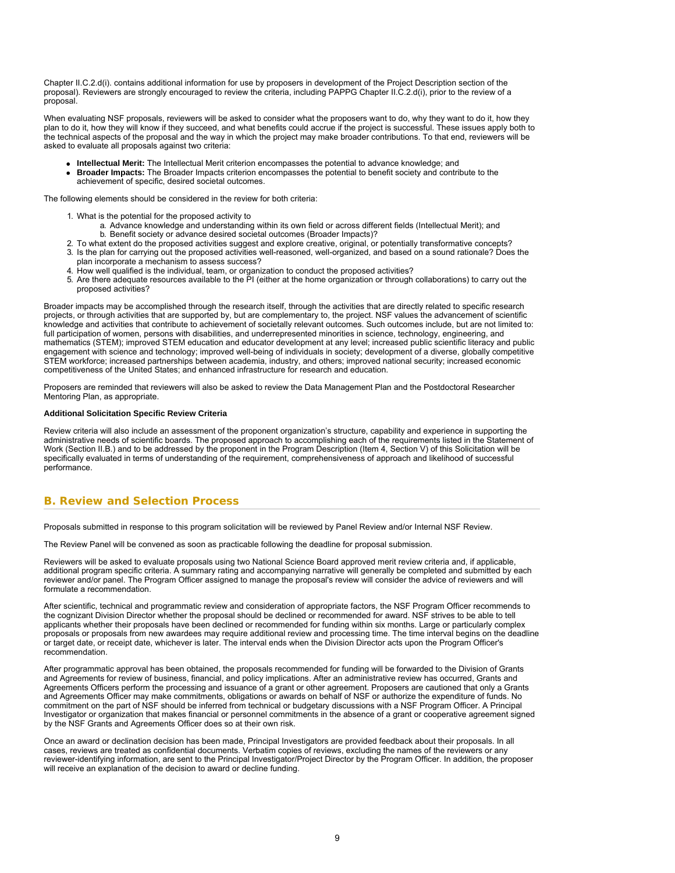Chapter II.C.2.d(i). contains additional information for use by proposers in development of the Project Description section of the proposal). Reviewers are strongly encouraged to review the criteria, including PAPPG Chapter II.C.2.d(i), prior to the review of a proposal.

When evaluating NSF proposals, reviewers will be asked to consider what the proposers want to do, why they want to do it, how they plan to do it, how they will know if they succeed, and what benefits could accrue if the project is successful. These issues apply both to the technical aspects of the proposal and the way in which the project may make broader contributions. To that end, reviewers will be asked to evaluate all proposals against two criteria:

- **Intellectual Merit:** The Intellectual Merit criterion encompasses the potential to advance knowledge; and
- **Broader Impacts:** The Broader Impacts criterion encompasses the potential to benefit society and contribute to the achievement of specific, desired societal outcomes.

The following elements should be considered in the review for both criteria:

- 1. What is the potential for the proposed activity to
	- a. Advance knowledge and understanding within its own field or across different fields (Intellectual Merit); and b. Benefit society or advance desired societal outcomes (Broader Impacts)?
- 2. To what extent do the proposed activities suggest and explore creative, original, or potentially transformative concepts?
- 3. Is the plan for carrying out the proposed activities well-reasoned, well-organized, and based on a sound rationale? Does the plan incorporate a mechanism to assess success?
- 4. How well qualified is the individual, team, or organization to conduct the proposed activities?
- 5. Are there adequate resources available to the PI (either at the home organization or through collaborations) to carry out the proposed activities?

Broader impacts may be accomplished through the research itself, through the activities that are directly related to specific research projects, or through activities that are supported by, but are complementary to, the project. NSF values the advancement of scientific knowledge and activities that contribute to achievement of societally relevant outcomes. Such outcomes include, but are not limited to: full participation of women, persons with disabilities, and underrepresented minorities in science, technology, engineering, and mathematics (STEM); improved STEM education and educator development at any level; increased public scientific literacy and public engagement with science and technology; improved well-being of individuals in society; development of a diverse, globally competitive STEM workforce; increased partnerships between academia, industry, and others; improved national security; increased economic competitiveness of the United States; and enhanced infrastructure for research and education.

Proposers are reminded that reviewers will also be asked to review the Data Management Plan and the Postdoctoral Researcher Mentoring Plan, as appropriate.

#### **Additional Solicitation Specific Review Criteria**

Review criteria will also include an assessment of the proponent organization's structure, capability and experience in supporting the administrative needs of scientific boards. The proposed approach to accomplishing each of the requirements listed in the Statement of Work (Section II.B.) and to be addressed by the proponent in the Program Description (Item 4, Section V) of this Solicitation will be specifically evaluated in terms of understanding of the requirement, comprehensiveness of approach and likelihood of successful performance.

### <span id="page-8-0"></span>**B. Review and Selection Process**

Proposals submitted in response to this program solicitation will be reviewed by Panel Review and/or Internal NSF Review.

The Review Panel will be convened as soon as practicable following the deadline for proposal submission.

Reviewers will be asked to evaluate proposals using two National Science Board approved merit review criteria and, if applicable, additional program specific criteria. A summary rating and accompanying narrative will generally be completed and submitted by each reviewer and/or panel. The Program Officer assigned to manage the proposal's review will consider the advice of reviewers and will formulate a recommendation.

After scientific, technical and programmatic review and consideration of appropriate factors, the NSF Program Officer recommends to the cognizant Division Director whether the proposal should be declined or recommended for award. NSF strives to be able to tell applicants whether their proposals have been declined or recommended for funding within six months. Large or particularly complex proposals or proposals from new awardees may require additional review and processing time. The time interval begins on the deadline or target date, or receipt date, whichever is later. The interval ends when the Division Director acts upon the Program Officer's recommendation.

After programmatic approval has been obtained, the proposals recommended for funding will be forwarded to the Division of Grants and Agreements for review of business, financial, and policy implications. After an administrative review has occurred, Grants and Agreements Officers perform the processing and issuance of a grant or other agreement. Proposers are cautioned that only a Grants and Agreements Officer may make commitments, obligations or awards on behalf of NSF or authorize the expenditure of funds. No commitment on the part of NSF should be inferred from technical or budgetary discussions with a NSF Program Officer. A Principal Investigator or organization that makes financial or personnel commitments in the absence of a grant or cooperative agreement signed by the NSF Grants and Agreements Officer does so at their own risk.

<span id="page-8-1"></span>Once an award or declination decision has been made, Principal Investigators are provided feedback about their proposals. In all cases, reviews are treated as confidential documents. Verbatim copies of reviews, excluding the names of the reviewers or any reviewer-identifying information, are sent to the Principal Investigator/Project Director by the Program Officer. In addition, the proposer will receive an explanation of the decision to award or decline funding.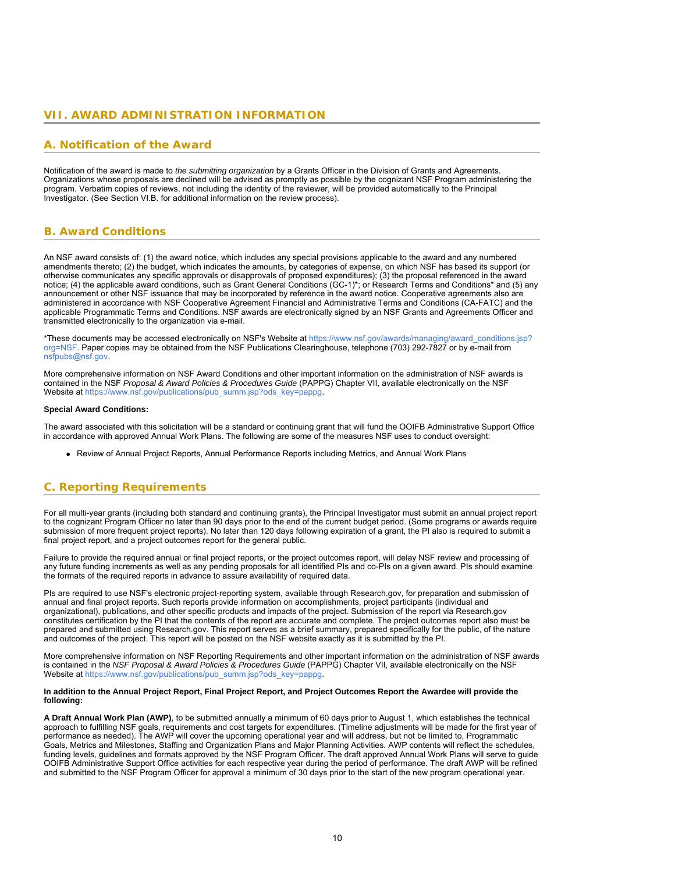### <span id="page-9-0"></span>**VII. AWARD ADMINISTRATION INFORMATION**

### **A. Notification of the Award**

Notification of the award is made to *the submitting organization* by a Grants Officer in the Division of Grants and Agreements. Organizations whose proposals are declined will be advised as promptly as possible by the cognizant NSF Program administering the program. Verbatim copies of reviews, not including the identity of the reviewer, will be provided automatically to the Principal Investigator. (See Section VI.B. for additional information on the review process).

### <span id="page-9-1"></span>**B. Award Conditions**

An NSF award consists of: (1) the award notice, which includes any special provisions applicable to the award and any numbered amendments thereto; (2) the budget, which indicates the amounts, by categories of expense, on which NSF has based its support (or otherwise communicates any specific approvals or disapprovals of proposed expenditures); (3) the proposal referenced in the award notice; (4) the applicable award conditions, such as Grant General Conditions (GC-1)\*; or Research Terms and Conditions\* and (5) any announcement or other NSF issuance that may be incorporated by reference in the award notice. Cooperative agreements also are administered in accordance with NSF Cooperative Agreement Financial and Administrative Terms and Conditions (CA-FATC) and the applicable Programmatic Terms and Conditions. NSF awards are electronically signed by an NSF Grants and Agreements Officer and transmitted electronically to the organization via e-mail.

\*These documents may be accessed electronically on NSF's Website at [https://www.nsf.gov/awards/managing/award\\_conditions.jsp?](https://www.nsf.gov/awards/managing/award_conditions.jsp?org=NSF) [org=NSF.](https://www.nsf.gov/awards/managing/award_conditions.jsp?org=NSF) Paper copies may be obtained from the NSF Publications Clearinghouse, telephone (703) 292-7827 or by e-mail from [nsfpubs@nsf.gov.](mailto:nsfpubs@nsf.gov)

More comprehensive information on NSF Award Conditions and other important information on the administration of NSF awards is contained in the NSF *Proposal & Award Policies & Procedures Guide* (PAPPG) Chapter VII, available electronically on the NSF Website at [https://www.nsf.gov/publications/pub\\_summ.jsp?ods\\_key=pappg](https://www.nsf.gov/publications/pub_summ.jsp?ods_key=pappg).

#### **Special Award Conditions:**

The award associated with this solicitation will be a standard or continuing grant that will fund the OOIFB Administrative Support Office in accordance with approved Annual Work Plans. The following are some of the measures NSF uses to conduct oversight:

Review of Annual Project Reports, Annual Performance Reports including Metrics, and Annual Work Plans

# <span id="page-9-2"></span>**C. Reporting Requirements**

For all multi-year grants (including both standard and continuing grants), the Principal Investigator must submit an annual project report to the cognizant Program Officer no later than 90 days prior to the end of the current budget period. (Some programs or awards require submission of more frequent project reports). No later than 120 days following expiration of a grant, the PI also is required to submit a final project report, and a project outcomes report for the general public.

Failure to provide the required annual or final project reports, or the project outcomes report, will delay NSF review and processing of any future funding increments as well as any pending proposals for all identified PIs and co-PIs on a given award. PIs should examine the formats of the required reports in advance to assure availability of required data.

PIs are required to use NSF's electronic project-reporting system, available through Research.gov, for preparation and submission of annual and final project reports. Such reports provide information on accomplishments, project participants (individual and organizational), publications, and other specific products and impacts of the project. Submission of the report via Research.gov constitutes certification by the PI that the contents of the report are accurate and complete. The project outcomes report also must be prepared and submitted using Research.gov. This report serves as a brief summary, prepared specifically for the public, of the nature and outcomes of the project. This report will be posted on the NSF website exactly as it is submitted by the PI.

More comprehensive information on NSF Reporting Requirements and other important information on the administration of NSF awards is contained in the *NSF Proposal & Award Policies & Procedures Guide* (PAPPG) Chapter VII, available electronically on the NSF Website at [https://www.nsf.gov/publications/pub\\_summ.jsp?ods\\_key=pappg](https://www.nsf.gov/publications/pub_summ.jsp?ods_key=pappg).

#### **In addition to the Annual Project Report, Final Project Report, and Project Outcomes Report the Awardee will provide the following:**

**A Draft Annual Work Plan (AWP)**, to be submitted annually a minimum of 60 days prior to August 1, which establishes the technical approach to fulfilling NSF goals, requirements and cost targets for expenditures. (Timeline adjustments will be made for the first year of performance as needed). The AWP will cover the upcoming operational year and will address, but not be limited to, Programmatic Goals, Metrics and Milestones, Staffing and Organization Plans and Major Planning Activities. AWP contents will reflect the schedules, funding levels, guidelines and formats approved by the NSF Program Officer. The draft approved Annual Work Plans will serve to guide OOIFB Administrative Support Office activities for each respective year during the period of performance. The draft AWP will be refined and submitted to the NSF Program Officer for approval a minimum of 30 days prior to the start of the new program operational year.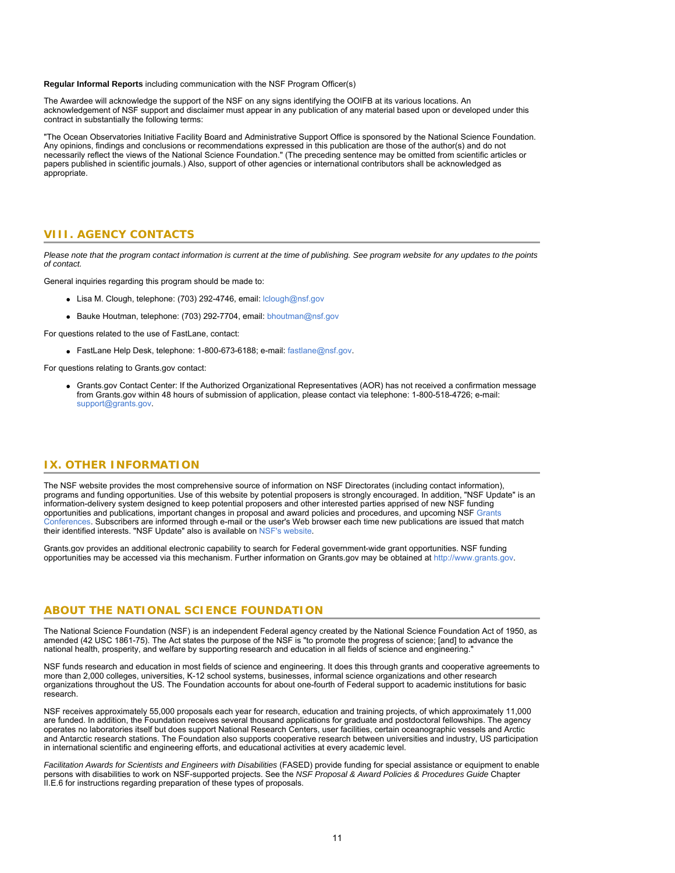**Regular Informal Reports** including communication with the NSF Program Officer(s)

The Awardee will acknowledge the support of the NSF on any signs identifying the OOIFB at its various locations. An acknowledgement of NSF support and disclaimer must appear in any publication of any material based upon or developed under this contract in substantially the following terms:

<span id="page-10-0"></span>"The Ocean Observatories Initiative Facility Board and Administrative Support Office is sponsored by the National Science Foundation. Any opinions, findings and conclusions or recommendations expressed in this publication are those of the author(s) and do not necessarily reflect the views of the National Science Foundation." (The preceding sentence may be omitted from scientific articles or papers published in scientific journals.) Also, support of other agencies or international contributors shall be acknowledged as appropriate.

### **VIII. AGENCY CONTACTS**

*Please note that the program contact information is current at the time of publishing. See program website for any updates to the points of contact.*

General inquiries regarding this program should be made to:

- Lisa M. Clough, telephone: (703) 292-4746, email: lolough@nsf.gov
- Bauke Houtman, telephone: (703) 292-7704, email: [bhoutman@nsf.gov](mailto:bhoutman@nsf.gov)

For questions related to the use of FastLane, contact:

**FastLane Help Desk, telephone: 1-800-673-6188; e-mail: [fastlane@nsf.gov](mailto:fastlane@nsf.gov).** 

<span id="page-10-1"></span>For questions relating to Grants.gov contact:

Grants.gov Contact Center: If the Authorized Organizational Representatives (AOR) has not received a confirmation message from Grants.gov within 48 hours of submission of application, please contact via telephone: 1-800-518-4726; e-mail: [support@grants.gov.](mailto:support@grants.gov)

### **IX. OTHER INFORMATION**

The NSF website provides the most comprehensive source of information on NSF Directorates (including contact information), programs and funding opportunities. Use of this website by potential proposers is strongly encouraged. In addition, "NSF Update" is an information-delivery system designed to keep potential proposers and other interested parties apprised of new NSF funding opportunities and publications, important changes in proposal and award policies and procedures, and upcoming NSF [Grants](https://www.nsf.gov/bfa/dias/policy/outreach.jsp) [Conferences](https://www.nsf.gov/bfa/dias/policy/outreach.jsp). Subscribers are informed through e-mail or the user's Web browser each time new publications are issued that match their identified interests. "NSF Update" also is available on [NSF's website](https://www.nsf.gov/cgi-bin/goodbye?https://public.govdelivery.com/accounts/USNSF/subscriber/new?topic_id=USNSF_179).

Grants.gov provides an additional electronic capability to search for Federal government-wide grant opportunities. NSF funding opportunities may be accessed via this mechanism. Further information on Grants.gov may be obtained at [http://www.grants.gov](http://www.grants.gov/).

### **ABOUT THE NATIONAL SCIENCE FOUNDATION**

The National Science Foundation (NSF) is an independent Federal agency created by the National Science Foundation Act of 1950, as amended (42 USC 1861-75). The Act states the purpose of the NSF is "to promote the progress of science; [and] to advance the national health, prosperity, and welfare by supporting research and education in all fields of science and engineering."

NSF funds research and education in most fields of science and engineering. It does this through grants and cooperative agreements to more than 2,000 colleges, universities, K-12 school systems, businesses, informal science organizations and other research organizations throughout the US. The Foundation accounts for about one-fourth of Federal support to academic institutions for basic research.

NSF receives approximately 55,000 proposals each year for research, education and training projects, of which approximately 11,000 are funded. In addition, the Foundation receives several thousand applications for graduate and postdoctoral fellowships. The agency operates no laboratories itself but does support National Research Centers, user facilities, certain oceanographic vessels and Arctic and Antarctic research stations. The Foundation also supports cooperative research between universities and industry, US participation in international scientific and engineering efforts, and educational activities at every academic level.

*Facilitation Awards for Scientists and Engineers with Disabilities* (FASED) provide funding for special assistance or equipment to enable persons with disabilities to work on NSF-supported projects. See the *NSF Proposal & Award Policies & Procedures Guide* Chapter II.E.6 for instructions regarding preparation of these types of proposals.